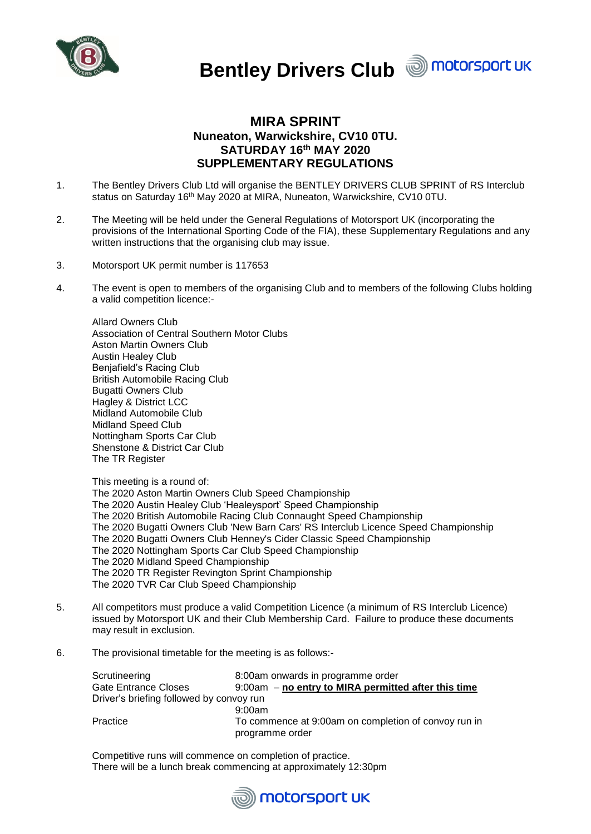



# **MIRA SPRINT Nuneaton, Warwickshire, CV10 0TU. SATURDAY 16th MAY 2020 SUPPLEMENTARY REGULATIONS**

- 1. The Bentley Drivers Club Ltd will organise the BENTLEY DRIVERS CLUB SPRINT of RS Interclub status on Saturday 16<sup>th</sup> May 2020 at MIRA, Nuneaton, Warwickshire, CV10 0TU.
- 2. The Meeting will be held under the General Regulations of Motorsport UK (incorporating the provisions of the International Sporting Code of the FIA), these Supplementary Regulations and any written instructions that the organising club may issue.
- 3. Motorsport UK permit number is 117653
- 4. The event is open to members of the organising Club and to members of the following Clubs holding a valid competition licence:-

Allard Owners Club Association of Central Southern Motor Clubs Aston Martin Owners Club Austin Healey Club Benjafield's Racing Club British Automobile Racing Club Bugatti Owners Club Hagley & District LCC Midland Automobile Club Midland Speed Club Nottingham Sports Car Club Shenstone & District Car Club The TR Register

This meeting is a round of:

The 2020 Aston Martin Owners Club Speed Championship The 2020 Austin Healey Club 'Healeysport' Speed Championship The 2020 British Automobile Racing Club Connaught Speed Championship The 2020 Bugatti Owners Club 'New Barn Cars' RS Interclub Licence Speed Championship The 2020 Bugatti Owners Club Henney's Cider Classic Speed Championship The 2020 Nottingham Sports Car Club Speed Championship The 2020 Midland Speed Championship The 2020 TR Register Revington Sprint Championship The 2020 TVR Car Club Speed Championship

- 5. All competitors must produce a valid Competition Licence (a minimum of RS Interclub Licence) issued by Motorsport UK and their Club Membership Card. Failure to produce these documents may result in exclusion.
- 6. The provisional timetable for the meeting is as follows:-

| Scrutineering                            | 8:00am onwards in programme order                    |
|------------------------------------------|------------------------------------------------------|
| <b>Gate Entrance Closes</b>              | 9:00am – no entry to MIRA permitted after this time  |
| Driver's briefing followed by convoy run |                                                      |
|                                          | 9:00am                                               |
| Practice                                 | To commence at 9:00am on completion of convoy run in |
|                                          | programme order                                      |

Competitive runs will commence on completion of practice. There will be a lunch break commencing at approximately 12:30pm

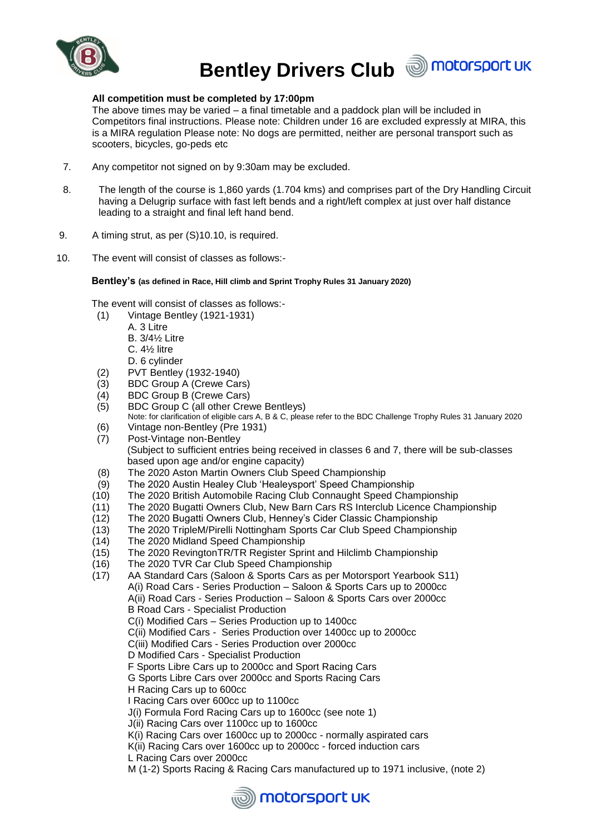

# **All competition must be completed by 17:00pm**

The above times may be varied  $-$  a final timetable and a paddock plan will be included in Competitors final instructions. Please note: Children under 16 are excluded expressly at MIRA, this is a MIRA regulation Please note: No dogs are permitted, neither are personal transport such as scooters, bicycles, go-peds etc

- 7. Any competitor not signed on by 9:30am may be excluded.
- 8. The length of the course is 1,860 yards (1.704 kms) and comprises part of the Dry Handling Circuit having a Delugrip surface with fast left bends and a right/left complex at just over half distance leading to a straight and final left hand bend.
- 9. A timing strut, as per (S)10.10, is required.
- 10. The event will consist of classes as follows:-

#### **Bentley's (as defined in Race, Hill climb and Sprint Trophy Rules 31 January 2020)**

The event will consist of classes as follows:-

- (1) Vintage Bentley (1921-1931)
	- A. 3 Litre
		- B. 3/4½ Litre
		- C. 4½ litre
		- D. 6 cylinder
- (2) PVT Bentley (1932-1940)
- (3) BDC Group A (Crewe Cars)
- (4) BDC Group B (Crewe Cars)
- (5) BDC Group C (all other Crewe Bentleys)
- Note: for clarification of eligible cars A, B & C, please refer to the BDC Challenge Trophy Rules 31 January 2020
- (6) Vintage non-Bentley (Pre 1931)
- (7) Post-Vintage non-Bentley (Subject to sufficient entries being received in classes 6 and 7, there will be sub-classes based upon age and/or engine capacity)
- (8) The 2020 Aston Martin Owners Club Speed Championship
- (9) The 2020 Austin Healey Club 'Healeysport' Speed Championship
- (10) The 2020 British Automobile Racing Club Connaught Speed Championship
- (11) The 2020 Bugatti Owners Club, New Barn Cars RS Interclub Licence Championship
- (12) The 2020 Bugatti Owners Club, Henney's Cider Classic Championship
- (13) The 2020 TripleM/Pirelli Nottingham Sports Car Club Speed Championship
- (14) The 2020 Midland Speed Championship
- (15) The 2020 RevingtonTR/TR Register Sprint and Hilclimb Championship
- (16) The 2020 TVR Car Club Speed Championship
- (17) AA Standard Cars (Saloon & Sports Cars as per Motorsport Yearbook S11) A(i) Road Cars - Series Production – Saloon & Sports Cars up to 2000cc A(ii) Road Cars - Series Production – Saloon & Sports Cars over 2000cc B Road Cars - Specialist Production C(i) Modified Cars – Series Production up to 1400cc C(ii) Modified Cars - Series Production over 1400cc up to 2000cc C(iii) Modified Cars - Series Production over 2000cc D Modified Cars - Specialist Production F Sports Libre Cars up to 2000cc and Sport Racing Cars G Sports Libre Cars over 2000cc and Sports Racing Cars H Racing Cars up to 600cc I Racing Cars over 600cc up to 1100cc J(i) Formula Ford Racing Cars up to 1600cc (see note 1) J(ii) Racing Cars over 1100cc up to 1600cc K(i) Racing Cars over 1600cc up to 2000cc - normally aspirated cars K(ii) Racing Cars over 1600cc up to 2000cc - forced induction cars
	- L Racing Cars over 2000cc
	- M (1-2) Sports Racing & Racing Cars manufactured up to 1971 inclusive, (note 2)

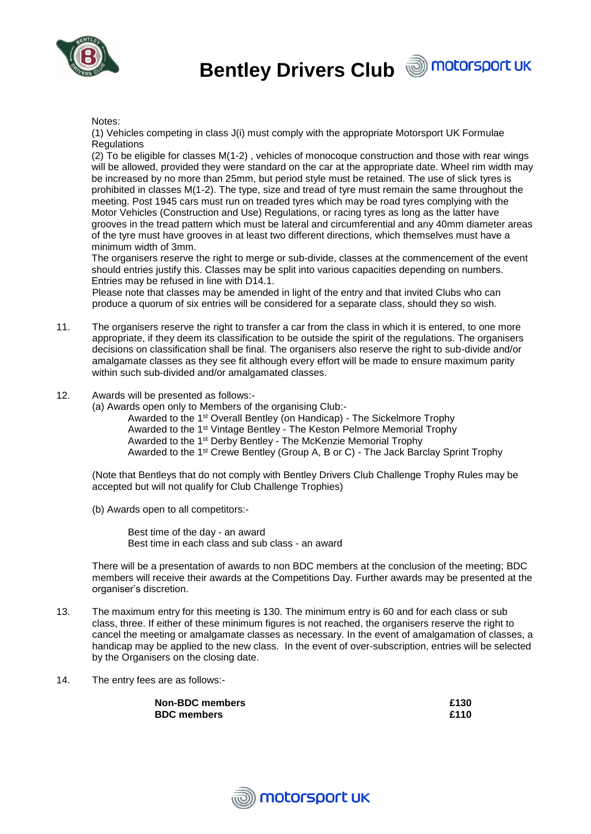



#### Notes:

(1) Vehicles competing in class J(i) must comply with the appropriate Motorsport UK Formulae **Regulations** 

(2) To be eligible for classes M(1-2) , vehicles of monocoque construction and those with rear wings will be allowed, provided they were standard on the car at the appropriate date. Wheel rim width may be increased by no more than 25mm, but period style must be retained. The use of slick tyres is prohibited in classes M(1-2). The type, size and tread of tyre must remain the same throughout the meeting. Post 1945 cars must run on treaded tyres which may be road tyres complying with the Motor Vehicles (Construction and Use) Regulations, or racing tyres as long as the latter have grooves in the tread pattern which must be lateral and circumferential and any 40mm diameter areas of the tyre must have grooves in at least two different directions, which themselves must have a minimum width of 3mm.

The organisers reserve the right to merge or sub-divide, classes at the commencement of the event should entries justify this. Classes may be split into various capacities depending on numbers. Entries may be refused in line with D14.1.

Please note that classes may be amended in light of the entry and that invited Clubs who can produce a quorum of six entries will be considered for a separate class, should they so wish.

- 11. The organisers reserve the right to transfer a car from the class in which it is entered, to one more appropriate, if they deem its classification to be outside the spirit of the regulations. The organisers decisions on classification shall be final. The organisers also reserve the right to sub-divide and/or amalgamate classes as they see fit although every effort will be made to ensure maximum parity within such sub-divided and/or amalgamated classes.
- 12. Awards will be presented as follows:-

(a) Awards open only to Members of the organising Club:-

Awarded to the 1st Overall Bentley (on Handicap) - The Sickelmore Trophy Awarded to the 1st Vintage Bentley - The Keston Pelmore Memorial Trophy Awarded to the 1st Derby Bentley - The McKenzie Memorial Trophy Awarded to the 1st Crewe Bentley (Group A, B or C) - The Jack Barclay Sprint Trophy

(Note that Bentleys that do not comply with Bentley Drivers Club Challenge Trophy Rules may be accepted but will not qualify for Club Challenge Trophies)

(b) Awards open to all competitors:-

Best time of the day - an award Best time in each class and sub class - an award

There will be a presentation of awards to non BDC members at the conclusion of the meeting; BDC members will receive their awards at the Competitions Day. Further awards may be presented at the organiser's discretion.

- 13. The maximum entry for this meeting is 130. The minimum entry is 60 and for each class or sub class, three. If either of these minimum figures is not reached, the organisers reserve the right to cancel the meeting or amalgamate classes as necessary. In the event of amalgamation of classes, a handicap may be applied to the new class. In the event of over-subscription, entries will be selected by the Organisers on the closing date.
- 14. The entry fees are as follows:-

**Non-BDC members £130 BDC members £110**

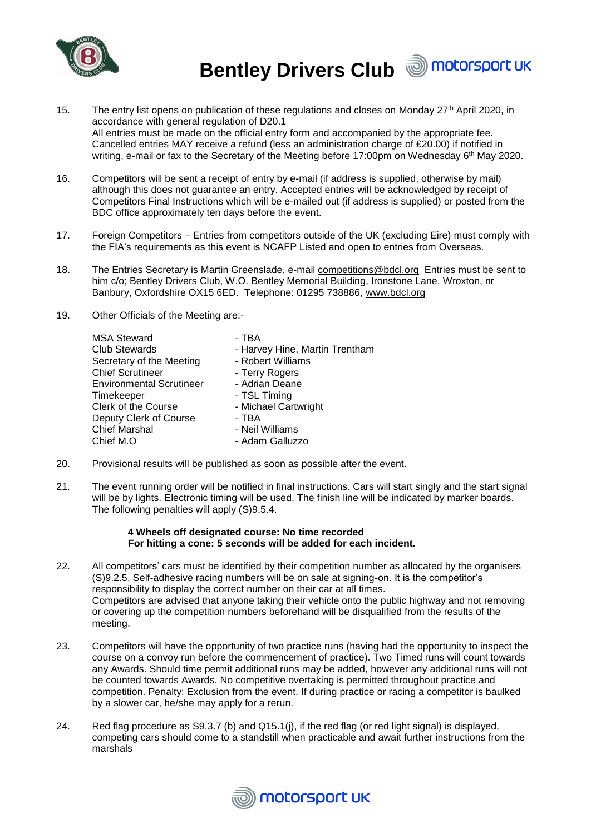

- 15. The entry list opens on publication of these regulations and closes on Monday 27<sup>th</sup> April 2020, in accordance with general regulation of D20.1 All entries must be made on the official entry form and accompanied by the appropriate fee. Cancelled entries MAY receive a refund (less an administration charge of £20.00) if notified in writing, e-mail or fax to the Secretary of the Meeting before 17:00pm on Wednesday 6<sup>th</sup> May 2020.
- 16. Competitors will be sent a receipt of entry by e-mail (if address is supplied, otherwise by mail) although this does not guarantee an entry. Accepted entries will be acknowledged by receipt of Competitors Final Instructions which will be e-mailed out (if address is supplied) or posted from the BDC office approximately ten days before the event.
- 17. Foreign Competitors Entries from competitors outside of the UK (excluding Eire) must comply with the FIA's requirements as this event is NCAFP Listed and open to entries from Overseas.
- 18. The Entries Secretary is Martin Greenslade, e-mail [competitions@bdcl.org](mailto:competitions@bdcl.org) Entries must be sent to him c/o; Bentley Drivers Club, W.O. Bentley Memorial Building, Ironstone Lane, Wroxton, nr Banbury, Oxfordshire OX15 6ED. Telephone: 01295 738886, [www.bdcl.org](http://www.bdcl.org/)
- 19. Other Officials of the Meeting are:-

| <b>MSA Steward</b>              | - TBA                          |
|---------------------------------|--------------------------------|
| <b>Club Stewards</b>            | - Harvey Hine, Martin Trentham |
| Secretary of the Meeting        | - Robert Williams              |
| <b>Chief Scrutineer</b>         | - Terry Rogers                 |
| <b>Environmental Scrutineer</b> | - Adrian Deane                 |
| Timekeeper                      | - TSL Timing                   |
| <b>Clerk of the Course</b>      | - Michael Cartwright           |
| Deputy Clerk of Course          | - TBA                          |
| <b>Chief Marshal</b>            | - Neil Williams                |
| Chief M.O.                      | - Adam Galluzzo                |
|                                 |                                |

- 20. Provisional results will be published as soon as possible after the event.
- 21. The event running order will be notified in final instructions. Cars will start singly and the start signal will be by lights. Electronic timing will be used. The finish line will be indicated by marker boards. The following penalties will apply (S)9.5.4.

## **4 Wheels off designated course: No time recorded For hitting a cone: 5 seconds will be added for each incident.**

- 22. All competitors' cars must be identified by their competition number as allocated by the organisers (S)9.2.5. Self-adhesive racing numbers will be on sale at signing-on. It is the competitor's responsibility to display the correct number on their car at all times. Competitors are advised that anyone taking their vehicle onto the public highway and not removing or covering up the competition numbers beforehand will be disqualified from the results of the meeting.
- 23. Competitors will have the opportunity of two practice runs (having had the opportunity to inspect the course on a convoy run before the commencement of practice). Two Timed runs will count towards any Awards. Should time permit additional runs may be added, however any additional runs will not be counted towards Awards. No competitive overtaking is permitted throughout practice and competition. Penalty: Exclusion from the event. If during practice or racing a competitor is baulked by a slower car, he/she may apply for a rerun.
- 24. Red flag procedure as S9.3.7 (b) and Q15.1(j), if the red flag (or red light signal) is displayed, competing cars should come to a standstill when practicable and await further instructions from the marshals